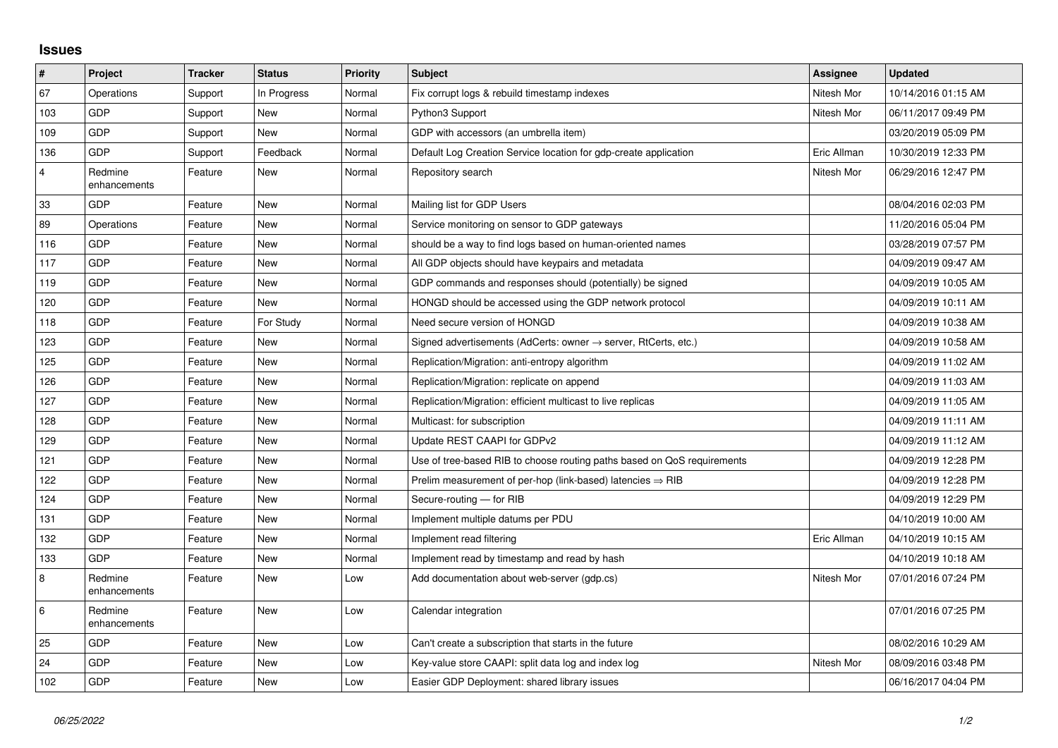## **Issues**

| #              | Project                 | <b>Tracker</b> | <b>Status</b> | <b>Priority</b> | <b>Subject</b>                                                             | Assignee    | <b>Updated</b>      |
|----------------|-------------------------|----------------|---------------|-----------------|----------------------------------------------------------------------------|-------------|---------------------|
| 67             | Operations              | Support        | In Progress   | Normal          | Fix corrupt logs & rebuild timestamp indexes                               | Nitesh Mor  | 10/14/2016 01:15 AM |
| 103            | GDP                     | Support        | <b>New</b>    | Normal          | Python3 Support                                                            | Nitesh Mor  | 06/11/2017 09:49 PM |
| 109            | GDP                     | Support        | New           | Normal          | GDP with accessors (an umbrella item)                                      |             | 03/20/2019 05:09 PM |
| 136            | GDP                     | Support        | Feedback      | Normal          | Default Log Creation Service location for gdp-create application           | Eric Allman | 10/30/2019 12:33 PM |
| $\overline{4}$ | Redmine<br>enhancements | Feature        | <b>New</b>    | Normal          | Repository search                                                          | Nitesh Mor  | 06/29/2016 12:47 PM |
| 33             | GDP                     | Feature        | <b>New</b>    | Normal          | Mailing list for GDP Users                                                 |             | 08/04/2016 02:03 PM |
| 89             | Operations              | Feature        | New           | Normal          | Service monitoring on sensor to GDP gateways                               |             | 11/20/2016 05:04 PM |
| 116            | GDP                     | Feature        | <b>New</b>    | Normal          | should be a way to find logs based on human-oriented names                 |             | 03/28/2019 07:57 PM |
| 117            | GDP                     | Feature        | <b>New</b>    | Normal          | All GDP objects should have keypairs and metadata                          |             | 04/09/2019 09:47 AM |
| 119            | GDP                     | Feature        | New           | Normal          | GDP commands and responses should (potentially) be signed                  |             | 04/09/2019 10:05 AM |
| 120            | GDP                     | Feature        | <b>New</b>    | Normal          | HONGD should be accessed using the GDP network protocol                    |             | 04/09/2019 10:11 AM |
| 118            | GDP                     | Feature        | For Study     | Normal          | Need secure version of HONGD                                               |             | 04/09/2019 10:38 AM |
| 123            | GDP                     | Feature        | New           | Normal          | Signed advertisements (AdCerts: owner $\rightarrow$ server, RtCerts, etc.) |             | 04/09/2019 10:58 AM |
| 125            | GDP                     | Feature        | <b>New</b>    | Normal          | Replication/Migration: anti-entropy algorithm                              |             | 04/09/2019 11:02 AM |
| 126            | GDP                     | Feature        | <b>New</b>    | Normal          | Replication/Migration: replicate on append                                 |             | 04/09/2019 11:03 AM |
| 127            | GDP                     | Feature        | New           | Normal          | Replication/Migration: efficient multicast to live replicas                |             | 04/09/2019 11:05 AM |
| 128            | GDP                     | Feature        | <b>New</b>    | Normal          | Multicast: for subscription                                                |             | 04/09/2019 11:11 AM |
| 129            | GDP                     | Feature        | New           | Normal          | Update REST CAAPI for GDPv2                                                |             | 04/09/2019 11:12 AM |
| 121            | GDP                     | Feature        | <b>New</b>    | Normal          | Use of tree-based RIB to choose routing paths based on QoS requirements    |             | 04/09/2019 12:28 PM |
| 122            | GDP                     | Feature        | <b>New</b>    | Normal          | Prelim measurement of per-hop (link-based) latencies $\Rightarrow$ RIB     |             | 04/09/2019 12:28 PM |
| 124            | GDP                     | Feature        | New           | Normal          | Secure-routing - for RIB                                                   |             | 04/09/2019 12:29 PM |
| 131            | GDP                     | Feature        | <b>New</b>    | Normal          | Implement multiple datums per PDU                                          |             | 04/10/2019 10:00 AM |
| 132            | GDP                     | Feature        | <b>New</b>    | Normal          | Implement read filtering                                                   | Eric Allman | 04/10/2019 10:15 AM |
| 133            | GDP                     | Feature        | New           | Normal          | Implement read by timestamp and read by hash                               |             | 04/10/2019 10:18 AM |
| 8              | Redmine<br>enhancements | Feature        | <b>New</b>    | Low             | Add documentation about web-server (gdp.cs)                                | Nitesh Mor  | 07/01/2016 07:24 PM |
| 6              | Redmine<br>enhancements | Feature        | New           | Low             | Calendar integration                                                       |             | 07/01/2016 07:25 PM |
| 25             | GDP                     | Feature        | <b>New</b>    | Low             | Can't create a subscription that starts in the future                      |             | 08/02/2016 10:29 AM |
| 24             | GDP                     | Feature        | <b>New</b>    | Low             | Key-value store CAAPI: split data log and index log                        | Nitesh Mor  | 08/09/2016 03:48 PM |
| 102            | GDP                     | Feature        | <b>New</b>    | Low             | Easier GDP Deployment: shared library issues                               |             | 06/16/2017 04:04 PM |